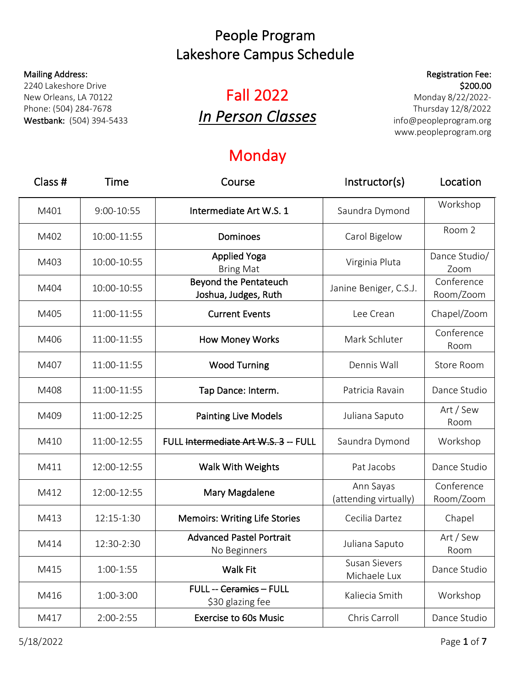#### Mailing Address:

2240 Lakeshore Drive New Orleans, LA 70122 Phone: (504) 284-7678 Westbank: (504) 394-5433

# Fall 2022 *In Person Classes*

### Monday

| Class # | Time        | Course                                               | Instructor(s)                        | Location                |
|---------|-------------|------------------------------------------------------|--------------------------------------|-------------------------|
| M401    | 9:00-10:55  | Intermediate Art W.S. 1                              | Saundra Dymond                       | Workshop                |
| M402    | 10:00-11:55 | Dominoes                                             | Carol Bigelow                        | Room 2                  |
| M403    | 10:00-10:55 | <b>Applied Yoga</b><br><b>Bring Mat</b>              | Virginia Pluta                       | Dance Studio/<br>Zoom   |
| M404    | 10:00-10:55 | <b>Beyond the Pentateuch</b><br>Joshua, Judges, Ruth | Janine Beniger, C.S.J.               | Conference<br>Room/Zoom |
| M405    | 11:00-11:55 | <b>Current Events</b>                                | Lee Crean                            | Chapel/Zoom             |
| M406    | 11:00-11:55 | <b>How Money Works</b>                               | Mark Schluter                        | Conference<br>Room      |
| M407    | 11:00-11:55 | <b>Wood Turning</b>                                  | Dennis Wall                          | Store Room              |
| M408    | 11:00-11:55 | Tap Dance: Interm.                                   | Patricia Ravain                      | Dance Studio            |
| M409    | 11:00-12:25 | <b>Painting Live Models</b>                          | Juliana Saputo                       | Art / Sew<br>Room       |
| M410    | 11:00-12:55 | FULL Intermediate Art W.S. 3 -- FULL                 | Saundra Dymond                       | Workshop                |
| M411    | 12:00-12:55 | Walk With Weights                                    | Pat Jacobs                           | Dance Studio            |
| M412    | 12:00-12:55 | Mary Magdalene                                       | Ann Sayas<br>(attending virtually)   | Conference<br>Room/Zoom |
| M413    | 12:15-1:30  | <b>Memoirs: Writing Life Stories</b>                 | Cecilia Dartez                       | Chapel                  |
| M414    | 12:30-2:30  | <b>Advanced Pastel Portrait</b><br>No Beginners      | Juliana Saputo                       | Art / Sew<br>Room       |
| M415    | 1:00-1:55   | <b>Walk Fit</b>                                      | <b>Susan Sievers</b><br>Michaele Lux | Dance Studio            |
| M416    | 1:00-3:00   | <b>FULL -- Ceramics - FULL</b><br>\$30 glazing fee   | Kaliecia Smith                       | Workshop                |
| M417    | 2:00-2:55   | <b>Exercise to 60s Music</b>                         | Chris Carroll                        | Dance Studio            |

Registration Fee: \$200.00

Monday 8/22/2022- Thursday 12/8/2022 info@peopleprogram.org www.peopleprogram.org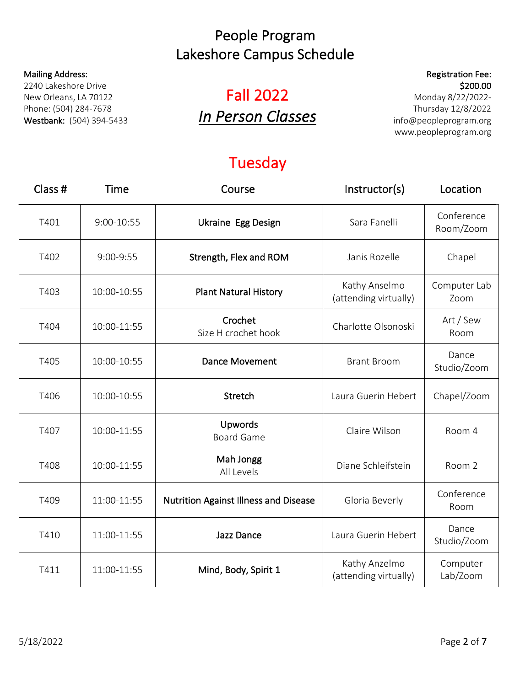#### Mailing Address:

2240 Lakeshore Drive New Orleans, LA 70122 Phone: (504) 284-7678 Westbank: (504) 394-5433

# Fall 2022 *In Person Classes*

### Registration Fee: \$200.00

Monday 8/22/2022- Thursday 12/8/2022 info@peopleprogram.org www.peopleprogram.org

## Tuesday

| Class # | Time        | Course                                       | Instructor(s)                          | Location                |
|---------|-------------|----------------------------------------------|----------------------------------------|-------------------------|
| T401    | 9:00-10:55  | <b>Ukraine Egg Design</b>                    | Sara Fanelli                           | Conference<br>Room/Zoom |
| T402    | 9:00-9:55   | Strength, Flex and ROM                       | Janis Rozelle                          | Chapel                  |
| T403    | 10:00-10:55 | <b>Plant Natural History</b>                 | Kathy Anselmo<br>(attending virtually) | Computer Lab<br>Zoom    |
| T404    | 10:00-11:55 | Crochet<br>Size H crochet hook               | Charlotte Olsonoski                    | Art / Sew<br>Room       |
| T405    | 10:00-10:55 | <b>Dance Movement</b>                        | <b>Brant Broom</b>                     | Dance<br>Studio/Zoom    |
| T406    | 10:00-10:55 | Stretch                                      | Laura Guerin Hebert                    | Chapel/Zoom             |
| T407    | 10:00-11:55 | Upwords<br><b>Board Game</b>                 | Claire Wilson                          | Room 4                  |
| T408    | 10:00-11:55 | Mah Jongg<br>All Levels                      | Diane Schleifstein                     | Room 2                  |
| T409    | 11:00-11:55 | <b>Nutrition Against Illness and Disease</b> | Gloria Beverly                         | Conference<br>Room      |
| T410    | 11:00-11:55 | Jazz Dance                                   | Laura Guerin Hebert                    | Dance<br>Studio/Zoom    |
| T411    | 11:00-11:55 | Mind, Body, Spirit 1                         | Kathy Anzelmo<br>(attending virtually) | Computer<br>Lab/Zoom    |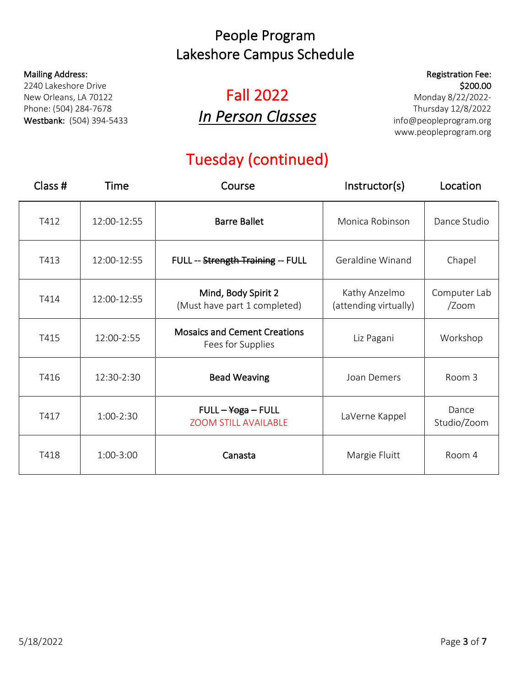#### Mailing Address:

2240 Lakeshore Drive New Orleans, LA 70122 Phone: (504) 284-7678 Westbank: (504) 394-5433

# Fall 2022 *In Person Classes*

### Registration Fee: \$200.00

Monday 8/22/2022- Thursday 12/8/2022 info@peopleprogram.org www.peopleprogram.org

## Tuesday (continued)

| Class $#$ | Time        | Course                                                   | Instructor(s)                          | Location              |
|-----------|-------------|----------------------------------------------------------|----------------------------------------|-----------------------|
| T412      | 12:00-12:55 | <b>Barre Ballet</b>                                      | Monica Robinson                        | Dance Studio          |
| T413      | 12:00-12:55 | FULL -- Strength Training -- FULL                        | Geraldine Winand                       | Chapel                |
| T414      | 12:00-12:55 | Mind, Body Spirit 2<br>(Must have part 1 completed)      | Kathy Anzelmo<br>(attending virtually) | Computer Lab<br>/Zoom |
| T415      | 12:00-2:55  | <b>Mosaics and Cement Creations</b><br>Fees for Supplies | Liz Pagani                             | Workshop              |
| T416      | 12:30-2:30  | <b>Bead Weaving</b>                                      | Joan Demers                            | Room 3                |
| T417      | 1:00-2:30   | $FULL - Yoga - FULL$<br><b>ZOOM STILL AVAILABLE</b>      | LaVerne Kappel                         | Dance<br>Studio/Zoom  |
| T418      | 1:00-3:00   | Canasta                                                  | Margie Fluitt                          | Room 4                |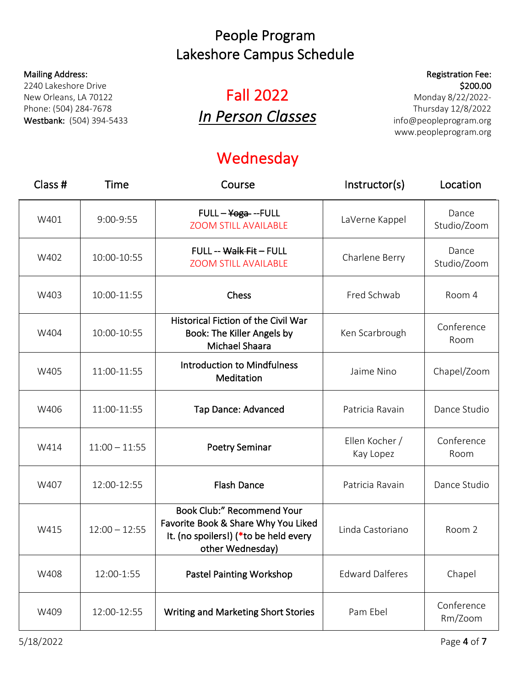#### Mailing Address:

2240 Lakeshore Drive New Orleans, LA 70122 Phone: (504) 284-7678 Westbank: (504) 394-5433

# Fall 2022 *In Person Classes*

# **Wednesday**

Registration Fee: \$200.00

Monday 8/22/2022- Thursday 12/8/2022 info@peopleprogram.org www.peopleprogram.org

| Class # | Time            | Course                                                                                                                                | Instructor(s)               | Location              |
|---------|-----------------|---------------------------------------------------------------------------------------------------------------------------------------|-----------------------------|-----------------------|
| W401    | 9:00-9:55       | FULL - Yoga --FULL<br><b>ZOOM STILL AVAILABLE</b>                                                                                     | LaVerne Kappel              | Dance<br>Studio/Zoom  |
| W402    | 10:00-10:55     | FULL -- Walk Fit - FULL<br><b>ZOOM STILL AVAILABLE</b>                                                                                | Charlene Berry              | Dance<br>Studio/Zoom  |
| W403    | 10:00-11:55     | Chess                                                                                                                                 | Fred Schwab                 | Room 4                |
| W404    | 10:00-10:55     | <b>Historical Fiction of the Civil War</b><br>Book: The Killer Angels by<br><b>Michael Shaara</b>                                     | Ken Scarbrough              | Conference<br>Room    |
| W405    | 11:00-11:55     | <b>Introduction to Mindfulness</b><br>Meditation                                                                                      | Jaime Nino                  | Chapel/Zoom           |
| W406    | 11:00-11:55     | <b>Tap Dance: Advanced</b>                                                                                                            | Patricia Ravain             | Dance Studio          |
| W414    | $11:00 - 11:55$ | <b>Poetry Seminar</b>                                                                                                                 | Ellen Kocher /<br>Kay Lopez | Conference<br>Room    |
| W407    | 12:00-12:55     | <b>Flash Dance</b>                                                                                                                    | Patricia Ravain             | Dance Studio          |
| W415    | $12:00 - 12:55$ | <b>Book Club:" Recommend Your</b><br>Favorite Book & Share Why You Liked<br>It. (no spoilers!) (*to be held every<br>other Wednesday) | Linda Castoriano            | Room 2                |
| W408    | 12:00-1:55      | <b>Pastel Painting Workshop</b>                                                                                                       | <b>Edward Dalferes</b>      | Chapel                |
| W409    | 12:00-12:55     | <b>Writing and Marketing Short Stories</b>                                                                                            | Pam Ebel                    | Conference<br>Rm/Zoom |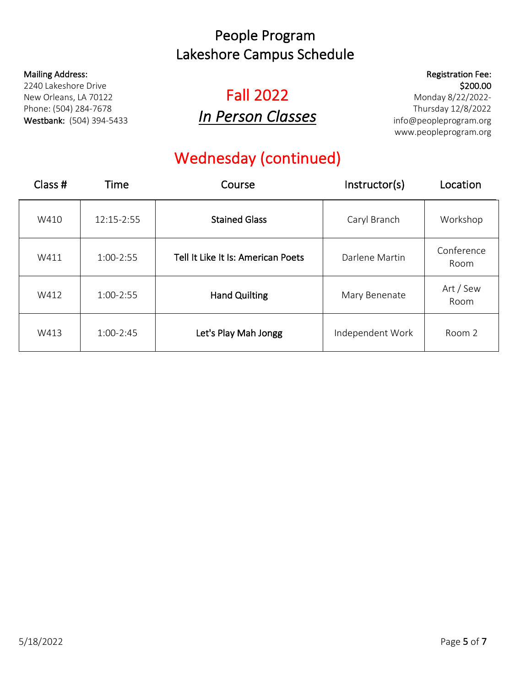#### Mailing Address:

2240 Lakeshore Drive New Orleans, LA 70122 Phone: (504) 284-7678 Westbank: (504) 394-5433

# Fall 2022 *In Person Classes*

### Registration Fee: \$200.00

Monday 8/22/2022- Thursday 12/8/2022 info@peopleprogram.org www.peopleprogram.org

## Wednesday (continued)

| Class $#$ | Time          | Course                             | Instructor(s)    | Location           |
|-----------|---------------|------------------------------------|------------------|--------------------|
| W410      | 12:15-2:55    | <b>Stained Glass</b>               | Caryl Branch     | Workshop           |
| W411      | $1:00 - 2:55$ | Tell It Like It Is: American Poets | Darlene Martin   | Conference<br>Room |
| W412      | $1:00 - 2:55$ | <b>Hand Quilting</b>               | Mary Benenate    | Art / Sew<br>Room  |
| W413      | $1:00 - 2:45$ | Let's Play Mah Jongg               | Independent Work | Room 2             |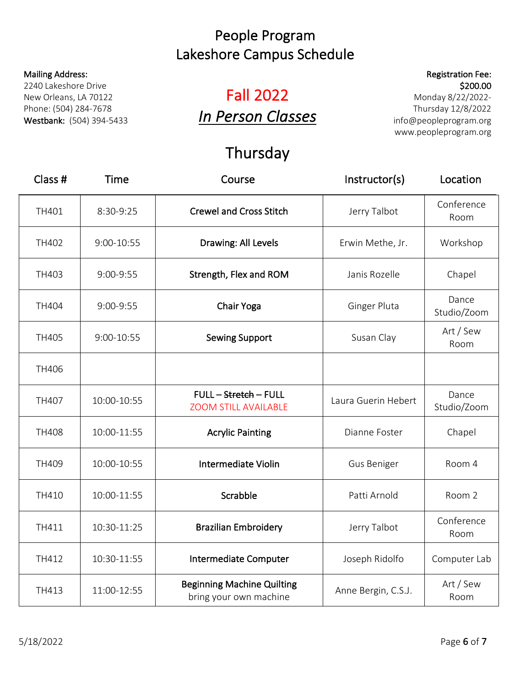#### Mailing Address:

2240 Lakeshore Drive New Orleans, LA 70122 Phone: (504) 284-7678 Westbank: (504) 394-5433

# Fall 2022 *In Person Classes*

## Thursday

| Class #      | <b>Time</b> | Course                                                      | Instructor(s)       | Location             |
|--------------|-------------|-------------------------------------------------------------|---------------------|----------------------|
| TH401        | 8:30-9:25   | <b>Crewel and Cross Stitch</b>                              | Jerry Talbot        | Conference<br>Room   |
| TH402        | 9:00-10:55  | Drawing: All Levels                                         | Erwin Methe, Jr.    | Workshop             |
| TH403        | 9:00-9:55   | Strength, Flex and ROM                                      | Janis Rozelle       | Chapel               |
| <b>TH404</b> | 9:00-9:55   | Chair Yoga                                                  | Ginger Pluta        | Dance<br>Studio/Zoom |
| <b>TH405</b> | 9:00-10:55  | <b>Sewing Support</b>                                       | Susan Clay          | Art / Sew<br>Room    |
| <b>TH406</b> |             |                                                             |                     |                      |
| <b>TH407</b> | 10:00-10:55 | FULL - Stretch - FULL<br><b>ZOOM STILL AVAILABLE</b>        | Laura Guerin Hebert | Dance<br>Studio/Zoom |
| <b>TH408</b> | 10:00-11:55 | <b>Acrylic Painting</b>                                     | Dianne Foster       | Chapel               |
| TH409        | 10:00-10:55 | Intermediate Violin                                         | Gus Beniger         | Room 4               |
| TH410        | 10:00-11:55 | Scrabble                                                    | Patti Arnold        | Room 2               |
| TH411        | 10:30-11:25 | <b>Brazilian Embroidery</b>                                 | Jerry Talbot        | Conference<br>Room   |
| TH412        | 10:30-11:55 | Intermediate Computer                                       | Joseph Ridolfo      | Computer Lab         |
| TH413        | 11:00-12:55 | <b>Beginning Machine Quilting</b><br>bring your own machine | Anne Bergin, C.S.J. | Art / Sew<br>Room    |

Monday 8/22/2022- Thursday 12/8/2022 info@peopleprogram.org www.peopleprogram.org

Registration Fee: \$200.00